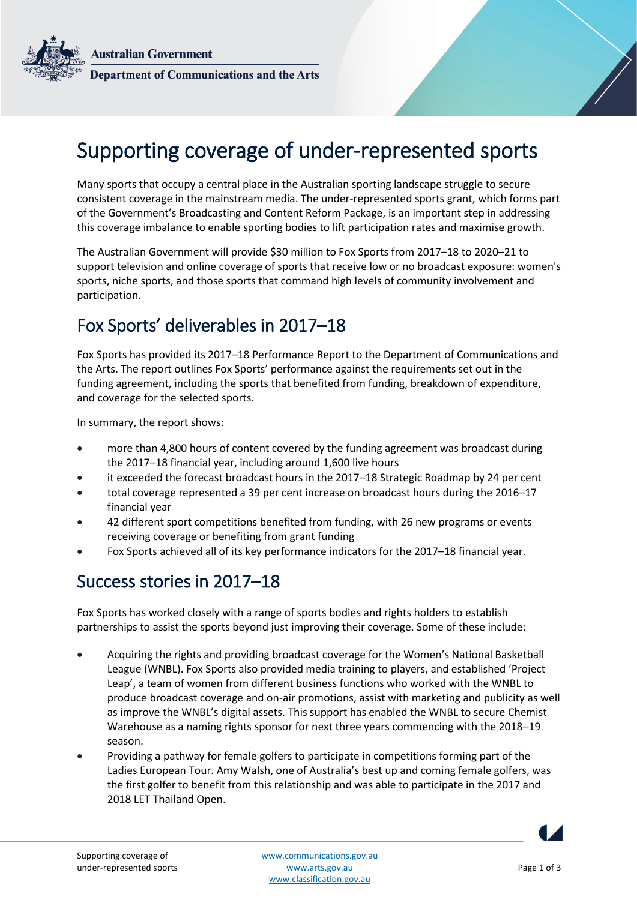**Australian Government Department of Communications and the Arts** 

# Supporting coverage of under-represented sports

Many sports that occupy a central place in the Australian sporting landscape struggle to secure consistent coverage in the mainstream media. The under-represented sports grant, which forms part of the Government's Broadcasting and Content Reform Package, is an important step in addressing this coverage imbalance to enable sporting bodies to lift participation rates and maximise growth.

The Australian Government will provide \$30 million to Fox Sports from 2017–18 to 2020–21 to support television and online coverage of sports that receive low or no broadcast exposure: women's sports, niche sports, and those sports that command high levels of community involvement and participation.

## Fox Sports' deliverables in 2017–18

Fox Sports has provided its 2017–18 Performance Report to the Department of Communications and the Arts. The report outlines Fox Sports' performance against the requirements set out in the funding agreement, including the sports that benefited from funding, breakdown of expenditure, and coverage for the selected sports.

In summary, the report shows:

- more than 4,800 hours of content covered by the funding agreement was broadcast during the 2017–18 financial year, including around 1,600 live hours
- it exceeded the forecast broadcast hours in the 2017–18 Strategic Roadmap by 24 per cent
- total coverage represented a 39 per cent increase on broadcast hours during the 2016–17 financial year
- 42 different sport competitions benefited from funding, with 26 new programs or events receiving coverage or benefiting from grant funding
- Fox Sports achieved all of its key performance indicators for the 2017–18 financial year.

### Success stories in 2017–18

Fox Sports has worked closely with a range of sports bodies and rights holders to establish partnerships to assist the sports beyond just improving their coverage. Some of these include:

- Acquiring the rights and providing broadcast coverage for the Women's National Basketball League (WNBL). Fox Sports also provided media training to players, and established 'Project Leap', a team of women from different business functions who worked with the WNBL to produce broadcast coverage and on-air promotions, assist with marketing and publicity as well as improve the WNBL's digital assets. This support has enabled the WNBL to secure Chemist Warehouse as a naming rights sponsor for next three years commencing with the 2018–19 season.
- Providing a pathway for female golfers to participate in competitions forming part of the Ladies European Tour. Amy Walsh, one of Australia's best up and coming female golfers, was the first golfer to benefit from this relationship and was able to participate in the 2017 and 2018 LET Thailand Open.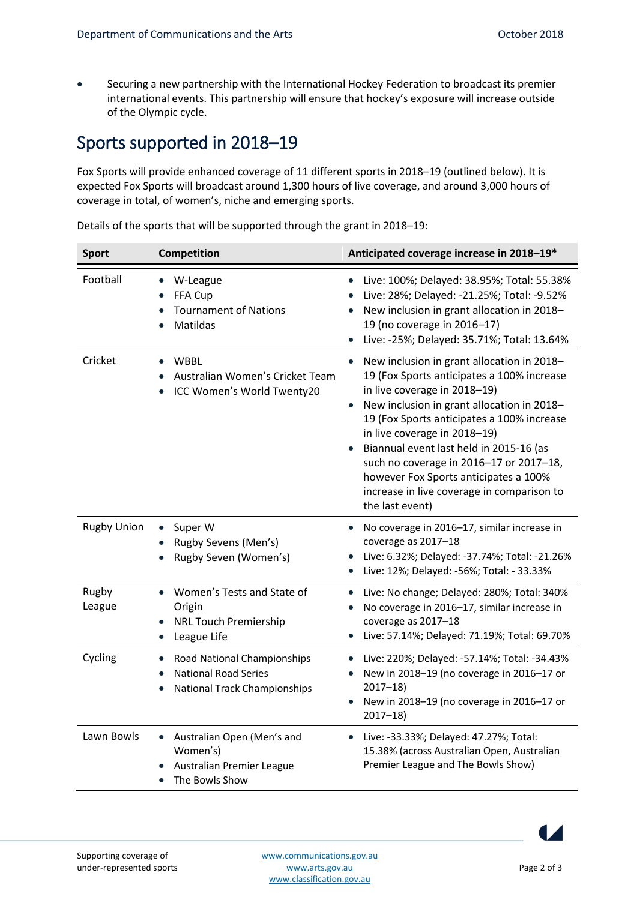Securing a new partnership with the International Hockey Federation to broadcast its premier international events. This partnership will ensure that hockey's exposure will increase outside of the Olympic cycle.

# Sports supported in 2018–19

Fox Sports will provide enhanced coverage of 11 different sports in 2018–19 (outlined below). It is expected Fox Sports will broadcast around 1,300 hours of live coverage, and around 3,000 hours of coverage in total, of women's, niche and emerging sports.

| <b>Sport</b>       | Competition                                                                                                                              | Anticipated coverage increase in 2018-19*                                                                                                                                                                                                                                                                                                                                                                                                                         |
|--------------------|------------------------------------------------------------------------------------------------------------------------------------------|-------------------------------------------------------------------------------------------------------------------------------------------------------------------------------------------------------------------------------------------------------------------------------------------------------------------------------------------------------------------------------------------------------------------------------------------------------------------|
| Football           | W-League<br>$\bullet$<br>FFA Cup<br><b>Tournament of Nations</b><br>Matildas                                                             | Live: 100%; Delayed: 38.95%; Total: 55.38%<br>$\bullet$<br>Live: 28%; Delayed: -21.25%; Total: -9.52%<br>New inclusion in grant allocation in 2018-<br>19 (no coverage in 2016-17)<br>Live: -25%; Delayed: 35.71%; Total: 13.64%                                                                                                                                                                                                                                  |
| Cricket            | <b>WBBL</b><br>Australian Women's Cricket Team<br>ICC Women's World Twenty20                                                             | New inclusion in grant allocation in 2018-<br>$\bullet$<br>19 (Fox Sports anticipates a 100% increase<br>in live coverage in 2018-19)<br>New inclusion in grant allocation in 2018-<br>19 (Fox Sports anticipates a 100% increase<br>in live coverage in 2018-19)<br>Biannual event last held in 2015-16 (as<br>such no coverage in 2016-17 or 2017-18,<br>however Fox Sports anticipates a 100%<br>increase in live coverage in comparison to<br>the last event) |
| <b>Rugby Union</b> | Super W<br>$\bullet$<br>Rugby Sevens (Men's)<br>Rugby Seven (Women's)                                                                    | No coverage in 2016-17, similar increase in<br>$\bullet$<br>coverage as 2017-18<br>Live: 6.32%; Delayed: -37.74%; Total: -21.26%<br>Live: 12%; Delayed: -56%; Total: - 33.33%                                                                                                                                                                                                                                                                                     |
| Rugby<br>League    | Women's Tests and State of<br>Origin<br><b>NRL Touch Premiership</b><br>$\bullet$<br>League Life<br>$\bullet$                            | Live: No change; Delayed: 280%; Total: 340%<br>No coverage in 2016-17, similar increase in<br>coverage as 2017-18<br>Live: 57.14%; Delayed: 71.19%; Total: 69.70%<br>$\bullet$                                                                                                                                                                                                                                                                                    |
| Cycling            | Road National Championships<br>$\bullet$<br><b>National Road Series</b><br>$\bullet$<br><b>National Track Championships</b><br>$\bullet$ | Live: 220%; Delayed: -57.14%; Total: -34.43%<br>$\bullet$<br>New in 2018-19 (no coverage in 2016-17 or<br>$2017 - 18$<br>New in 2018-19 (no coverage in 2016-17 or<br>$2017 - 18$                                                                                                                                                                                                                                                                                 |
| Lawn Bowls         | Australian Open (Men's and<br>$\bullet$<br>Women's)<br>Australian Premier League<br>The Bowls Show<br>$\bullet$                          | Live: -33.33%; Delayed: 47.27%; Total:<br>$\bullet$<br>15.38% (across Australian Open, Australian<br>Premier League and The Bowls Show)                                                                                                                                                                                                                                                                                                                           |

Details of the sports that will be supported through the grant in 2018–19: